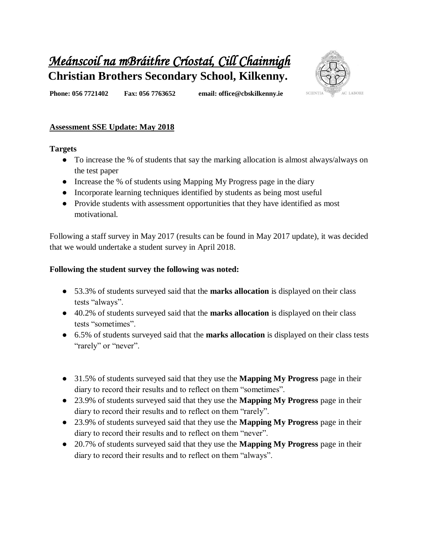# *Meánscoil na mBráithre Críostaí, Cill Chainnigh*  **Christian Brothers Secondary School, Kilkenny.**



**Phone: 056 7721402 Fax: 056 7763652 email: office@cbskilkenny.ie** 

# **Assessment SSE Update: May 2018**

#### **Targets**

- To increase the % of students that say the marking allocation is almost always/always on the test paper
- Increase the % of students using Mapping My Progress page in the diary
- Incorporate learning techniques identified by students as being most useful
- Provide students with assessment opportunities that they have identified as most motivational.

Following a staff survey in May 2017 (results can be found in May 2017 update), it was decided that we would undertake a student survey in April 2018.

#### **Following the student survey the following was noted:**

- 53.3% of students surveyed said that the **marks allocation** is displayed on their class tests "always".
- 40.2% of students surveyed said that the **marks allocation** is displayed on their class tests "sometimes".
- 6.5% of students surveyed said that the **marks allocation** is displayed on their class tests "rarely" or "never".
- 31.5% of students surveyed said that they use the **Mapping My Progress** page in their diary to record their results and to reflect on them "sometimes".
- 23.9% of students surveyed said that they use the **Mapping My Progress** page in their diary to record their results and to reflect on them "rarely".
- 23.9% of students surveyed said that they use the **Mapping My Progress** page in their diary to record their results and to reflect on them "never".
- 20.7% of students surveyed said that they use the **Mapping My Progress** page in their diary to record their results and to reflect on them "always".